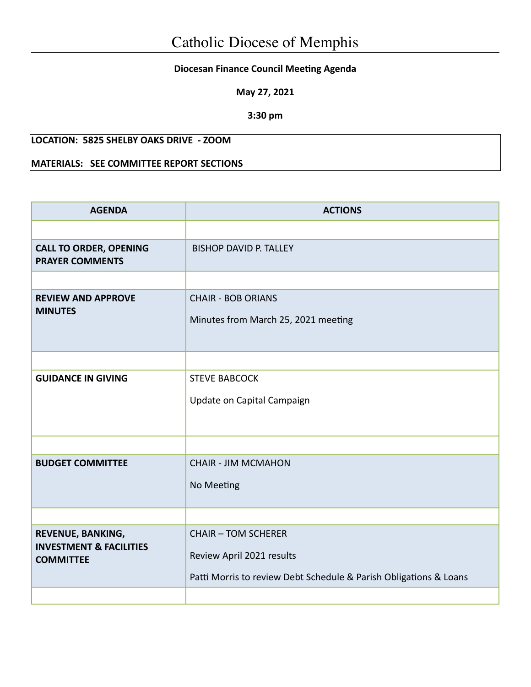## **Diocesan Finance Council Meeting Agenda**

**May 27, 2021**

**3:30 pm**

# **LOCATION: 5825 SHELBY OAKS DRIVE - ZOOM**

## **MATERIALS: SEE COMMITTEE REPORT SECTIONS**

| <b>AGENDA</b>                                                               | <b>ACTIONS</b>                                                                                                               |  |  |
|-----------------------------------------------------------------------------|------------------------------------------------------------------------------------------------------------------------------|--|--|
|                                                                             |                                                                                                                              |  |  |
| <b>CALL TO ORDER, OPENING</b><br><b>PRAYER COMMENTS</b>                     | <b>BISHOP DAVID P. TALLEY</b>                                                                                                |  |  |
|                                                                             |                                                                                                                              |  |  |
| <b>REVIEW AND APPROVE</b><br><b>MINUTES</b>                                 | <b>CHAIR - BOB ORIANS</b><br>Minutes from March 25, 2021 meeting                                                             |  |  |
|                                                                             |                                                                                                                              |  |  |
| <b>GUIDANCE IN GIVING</b>                                                   | <b>STEVE BABCOCK</b><br>Update on Capital Campaign                                                                           |  |  |
|                                                                             |                                                                                                                              |  |  |
| <b>BUDGET COMMITTEE</b>                                                     | <b>CHAIR - JIM MCMAHON</b><br>No Meeting                                                                                     |  |  |
|                                                                             |                                                                                                                              |  |  |
| REVENUE, BANKING,<br><b>INVESTMENT &amp; FACILITIES</b><br><b>COMMITTEE</b> | <b>CHAIR - TOM SCHERER</b><br>Review April 2021 results<br>Patti Morris to review Debt Schedule & Parish Obligations & Loans |  |  |
|                                                                             |                                                                                                                              |  |  |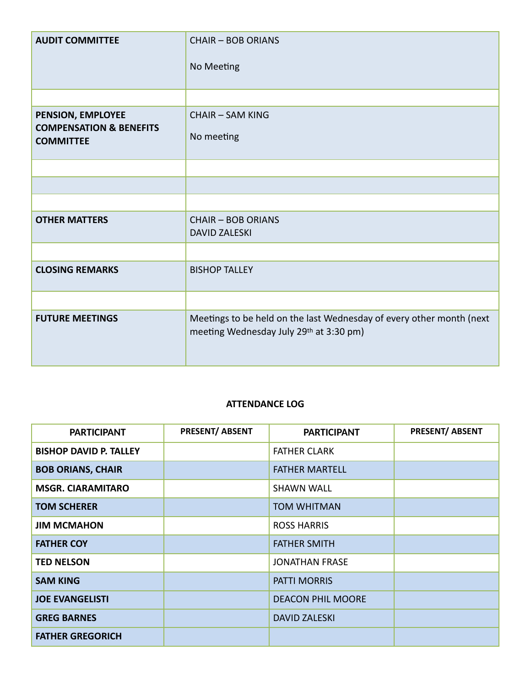| <b>AUDIT COMMITTEE</b>                                                      | <b>CHAIR - BOB ORIANS</b><br>No Meeting                                                                         |
|-----------------------------------------------------------------------------|-----------------------------------------------------------------------------------------------------------------|
|                                                                             |                                                                                                                 |
| PENSION, EMPLOYEE<br><b>COMPENSATION &amp; BENEFITS</b><br><b>COMMITTEE</b> | <b>CHAIR - SAM KING</b><br>No meeting                                                                           |
|                                                                             |                                                                                                                 |
|                                                                             |                                                                                                                 |
|                                                                             |                                                                                                                 |
| <b>OTHER MATTERS</b>                                                        | <b>CHAIR - BOB ORIANS</b><br><b>DAVID ZALESKI</b>                                                               |
|                                                                             |                                                                                                                 |
| <b>CLOSING REMARKS</b>                                                      | <b>BISHOP TALLEY</b>                                                                                            |
|                                                                             |                                                                                                                 |
| <b>FUTURE MEETINGS</b>                                                      | Meetings to be held on the last Wednesday of every other month (next<br>meeting Wednesday July 29th at 3:30 pm) |

#### **ATTENDANCE LOG**

| <b>PARTICIPANT</b>            | PRESENT/ ABSENT | <b>PARTICIPANT</b>       | <b>PRESENT/ ABSENT</b> |
|-------------------------------|-----------------|--------------------------|------------------------|
| <b>BISHOP DAVID P. TALLEY</b> |                 | <b>FATHER CLARK</b>      |                        |
| <b>BOB ORIANS, CHAIR</b>      |                 | <b>FATHER MARTELL</b>    |                        |
| <b>MSGR. CIARAMITARO</b>      |                 | <b>SHAWN WALL</b>        |                        |
| <b>TOM SCHERER</b>            |                 | <b>TOM WHITMAN</b>       |                        |
| <b>JIM MCMAHON</b>            |                 | <b>ROSS HARRIS</b>       |                        |
| <b>FATHER COY</b>             |                 | <b>FATHER SMITH</b>      |                        |
| <b>TED NELSON</b>             |                 | <b>JONATHAN FRASE</b>    |                        |
| <b>SAM KING</b>               |                 | <b>PATTI MORRIS</b>      |                        |
| <b>JOE EVANGELISTI</b>        |                 | <b>DEACON PHIL MOORE</b> |                        |
| <b>GREG BARNES</b>            |                 | <b>DAVID ZALESKI</b>     |                        |
| <b>FATHER GREGORICH</b>       |                 |                          |                        |